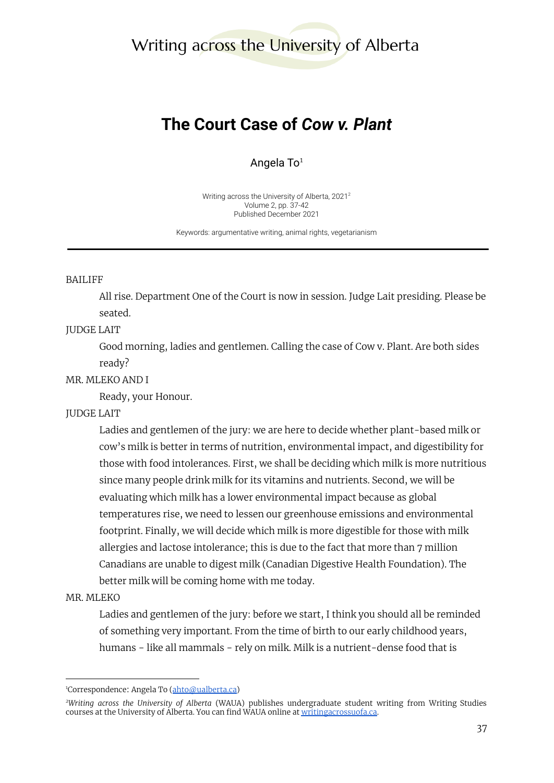# Writing across the University of Alberta

# **The Court Case of** *Cow v. Plant*

Angela To $1$ 

Writing across the University of Alberta, 2021 2 Volume 2, pp. 37-42 Published December 2021

Keywords: argumentative writing, animal rights, vegetarianism

#### BAILIFF

All rise. Department One of the Court is now in session. Judge Lait presiding. Please be seated.

#### JUDGE LAIT

Good morning, ladies and gentlemen. Calling the case of Cow v. Plant. Are both sides ready?

#### MR. MLEKO AND I

Ready, your Honour.

## JUDGE LAIT

Ladies and gentlemen of the jury: we are here to decide whether plant-based milk or cow's milk is better in terms of nutrition, environmental impact, and digestibility for those with food intolerances. First, we shall be deciding which milk is more nutritious since many people drink milk for its vitamins and nutrients. Second, we will be evaluating which milk has a lower environmental impact because as global temperatures rise, we need to lessen our greenhouse emissions and environmental footprint. Finally, we will decide which milk is more digestible for those with milk allergies and lactose intolerance; this is due to the fact that more than 7 million Canadians are unable to digest milk (Canadian Digestive Health Foundation). The better milk will be coming home with me today.

#### MR. MLEKO

Ladies and gentlemen of the jury: before we start, I think you should all be reminded of something very important. From the time of birth to our early childhood years, humans − like all mammals − rely on milk. Milk is a nutrient-dense food that is

<sup>&</sup>lt;sup>1</sup>Correspondence: Angela To ([ahto@ualberta.ca\)](mailto:ahto@ualberta.ca)

*<sup>2</sup>Writing across the University of Alberta* (WAUA) publishes undergraduate student writing from Writing Studies courses at the University of Alberta. You can find WAUA online at [writingacrossuofa.ca.](https://writingacrossuofa.ca/)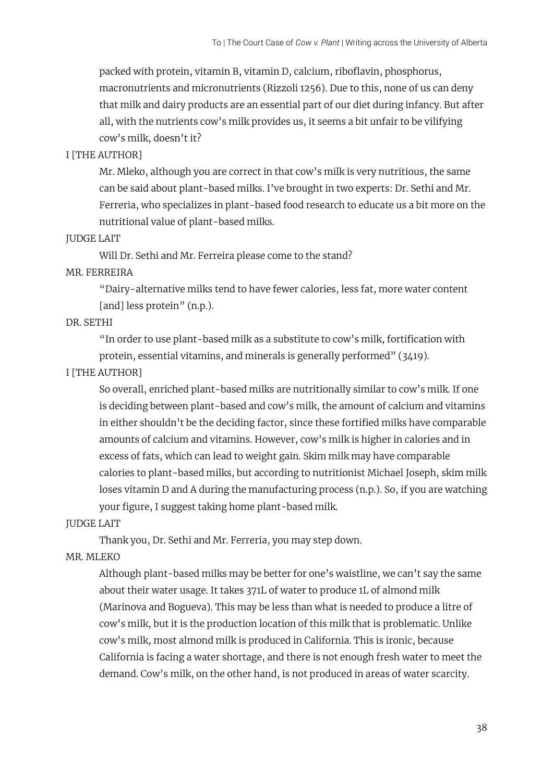packed with protein, vitamin B, vitamin D, calcium, riboflavin, phosphorus, macronutrients and micronutrients (Rizzoli 1256). Due to this, none of us can deny that milk and dairy products are an essential part of our diet during infancy. But after all, with the nutrients cow's milk provides us, it seems a bit unfair to be vilifying cow's milk, doesn't it?

# I [THE AUTHOR]

Mr. Mleko, although you are correct in that cow's milk is very nutritious, the same can be said about plant-based milks. I've brought in two experts: Dr. Sethi and Mr. Ferreria, who specializes in plant-based food research to educate us a bit more on the nutritional value of plant-based milks.

## JUDGE LAIT

Will Dr. Sethi and Mr. Ferreira please come to the stand?

# MR. FERREIRA

"Dairy-alternative milks tend to have fewer calories, less fat, more water content [and] less protein" (n.p.).

## DR. SETHI

"In order to use plant-based milk as a substitute to cow's milk, fortification with protein, essential vitamins, and minerals is generally performed" (3419).

# I [THE AUTHOR]

So overall, enriched plant-based milks are nutritionally similar to cow's milk. If one is deciding between plant-based and cow's milk, the amount of calcium and vitamins in either shouldn't be the deciding factor, since these fortified milks have comparable amounts of calcium and vitamins. However, cow's milk is higher in calories and in excess of fats, which can lead to weight gain. Skim milk may have comparable calories to plant-based milks, but according to nutritionist Michael Joseph, skim milk loses vitamin D and A during the manufacturing process (n.p.). So, if you are watching your figure, I suggest taking home plant-based milk.

# JUDGE LAIT

Thank you, Dr. Sethi and Mr. Ferreria, you may step down.

# MR. MLEKO

Although plant-based milks may be better for one's waistline, we can't say the same about their water usage. It takes 371L of water to produce 1L of almond milk (Marinova and Bogueva). This may be less than what is needed to produce a litre of cow's milk, but it is the production location of this milk that is problematic. Unlike cow's milk, most almond milk is produced in California. This is ironic, because California is facing a water shortage, and there is not enough fresh water to meet the demand. Cow's milk, on the other hand, is not produced in areas of water scarcity.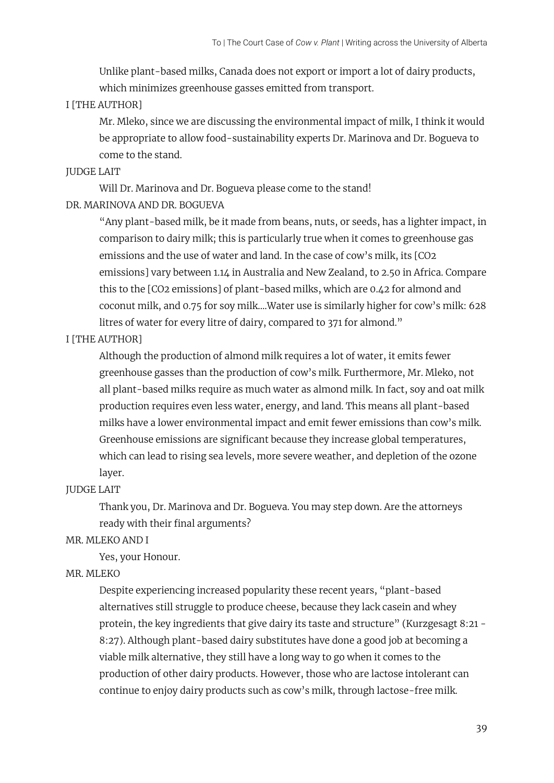Unlike plant-based milks, Canada does not export or import a lot of dairy products, which minimizes greenhouse gasses emitted from transport.

## I [THE AUTHOR]

Mr. Mleko, since we are discussing the environmental impact of milk, I think it would be appropriate to allow food-sustainability experts Dr. Marinova and Dr. Bogueva to come to the stand.

## JUDGE LAIT

Will Dr. Marinova and Dr. Bogueva please come to the stand! DR. MARINOVA AND DR. BOGUEVA

> "Any plant-based milk, be it made from beans, nuts, or seeds, has a lighter impact, in comparison to dairy milk; this is particularly true when it comes to greenhouse gas emissions and the use of water and land. In the case of cow's milk, its [CO2 emissions] vary between 1.14 in Australia and New Zealand, to 2.50 in Africa. Compare this to the [CO2 emissions] of plant-based milks, which are 0.42 for almond and coconut milk, and 0.75 for soy milk….Water use is similarly higher for cow's milk: 628 litres of water for every litre of dairy, compared to 371 for almond."

## I [THE AUTHOR]

Although the production of almond milk requires a lot of water, it emits fewer greenhouse gasses than the production of cow's milk. Furthermore, Mr. Mleko, not all plant-based milks require as much water as almond milk. In fact, soy and oat milk production requires even less water, energy, and land. This means all plant-based milks have a lower environmental impact and emit fewer emissions than cow's milk. Greenhouse emissions are significant because they increase global temperatures, which can lead to rising sea levels, more severe weather, and depletion of the ozone layer.

## JUDGE LAIT

Thank you, Dr. Marinova and Dr. Bogueva. You may step down. Are the attorneys ready with their final arguments?

## MR. MLEKO AND I

Yes, your Honour.

## MR. MLEKO

Despite experiencing increased popularity these recent years, "plant-based alternatives still struggle to produce cheese, because they lack casein and whey protein, the key ingredients that give dairy its taste and structure" (Kurzgesagt 8:21 - 8:27). Although plant-based dairy substitutes have done a good job at becoming a viable milk alternative, they still have a long way to go when it comes to the production of other dairy products. However, those who are lactose intolerant can continue to enjoy dairy products such as cow's milk, through lactose-free milk.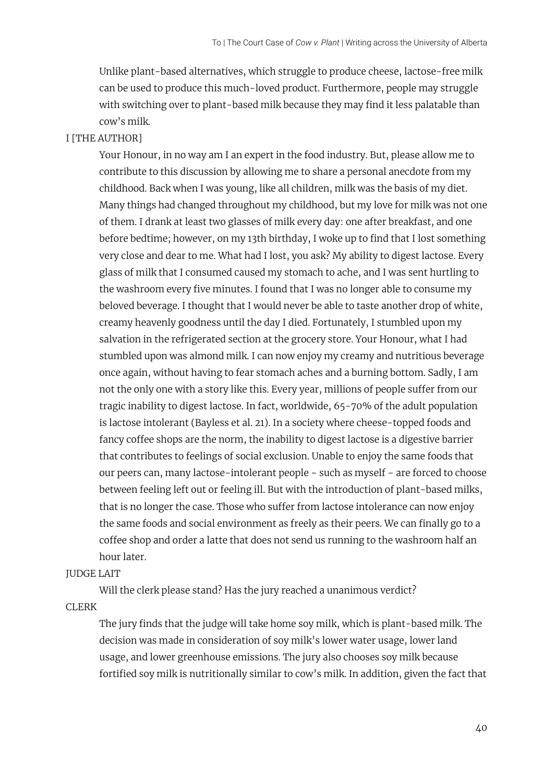Unlike plant-based alternatives, which struggle to produce cheese, lactose-free milk can be used to produce this much-loved product. Furthermore, people may struggle with switching over to plant-based milk because they may find it less palatable than cow's milk.

## I [THE AUTHOR]

Your Honour, in no way am I an expert in the food industry. But, please allow me to contribute to this discussion by allowing me to share a personal anecdote from my childhood. Back when I was young, like all children, milk was the basis of my diet. Many things had changed throughout my childhood, but my love for milk was not one of them. I drank at least two glasses of milk every day: one after breakfast, and one before bedtime; however, on my 13th birthday, I woke up to find that I lost something very close and dear to me. What had I lost, you ask? My ability to digest lactose. Every glass of milk that I consumed caused my stomach to ache, and I was sent hurtling to the washroom every five minutes. I found that I was no longer able to consume my beloved beverage. I thought that I would never be able to taste another drop of white, creamy heavenly goodness until the day I died. Fortunately, I stumbled upon my salvation in the refrigerated section at the grocery store. Your Honour, what I had stumbled upon was almond milk. I can now enjoy my creamy and nutritious beverage once again, without having to fear stomach aches and a burning bottom. Sadly, I am not the only one with a story like this. Every year, millions of people suffer from our tragic inability to digest lactose. In fact, worldwide, 65-70% of the adult population is lactose intolerant (Bayless et al. 21). In a society where cheese-topped foods and fancy coffee shops are the norm, the inability to digest lactose is a digestive barrier that contributes to feelings of social exclusion. Unable to enjoy the same foods that our peers can, many lactose-intolerant people − such as myself − are forced to choose between feeling left out or feeling ill. But with the introduction of plant-based milks, that is no longer the case. Those who suffer from lactose intolerance can now enjoy the same foods and social environment as freely as their peers. We can finally go to a coffee shop and order a latte that does not send us running to the washroom half an hour later.

#### JUDGE LAIT

Will the clerk please stand? Has the jury reached a unanimous verdict?

CLERK

The jury finds that the judge will take home soy milk, which is plant-based milk. The decision was made in consideration of soy milk's lower water usage, lower land usage, and lower greenhouse emissions. The jury also chooses soy milk because fortified soy milk is nutritionally similar to cow's milk. In addition, given the fact that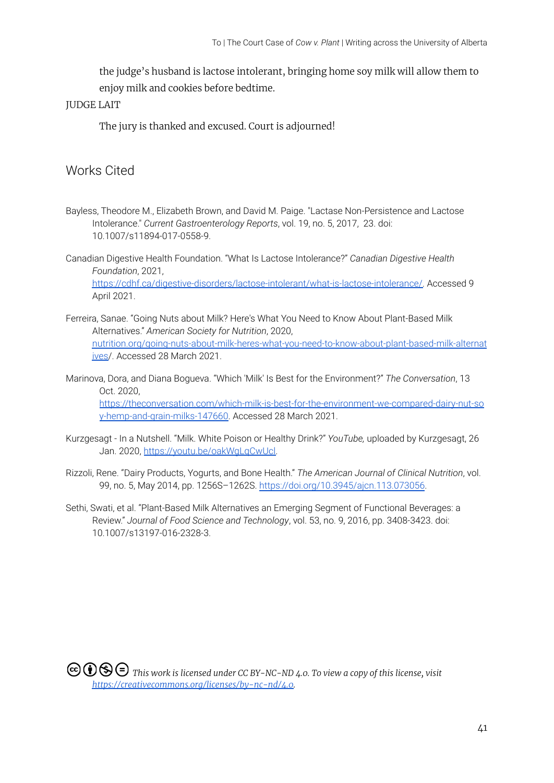the judge's husband is lactose intolerant, bringing home soy milk will allow them to enjoy milk and cookies before bedtime.

## JUDGE LAIT

The jury is thanked and excused. Court is adjourned!

# Works Cited

- Bayless, Theodore M., Elizabeth Brown, and David M. Paige. "Lactase Non-Persistence and Lactose Intolerance." *Current Gastroenterology Reports*, vol. 19, no. 5, 2017, 23. doi: 10.1007/s11894-017-0558-9.
- Canadian Digestive Health Foundation. "What Is Lactose Intolerance?" *Canadian Digestive Health Foundation*, 2021, [https://cdhf.ca/digestive-disorders/lactose-intolerant/what-is-lactose-intolerance/.](https://cdhf.ca/digestive-disorders/lactose-intolerant/what-is-lactose-intolerance/) Accessed 9 April 2021.
- Ferreira, Sanae. "Going Nuts about Milk? Here's What You Need to Know About Plant-Based Milk Alternatives." *American Society for Nutrition*, 2020, [nutrition.org/going-nuts-about-milk-heres-what-you-need-to-know-about-plant-based-milk-alternat](http://nutrition.org/going-nuts-about-milk-heres-what-you-need-to-know-about-plant-based-milk-alternatives) [ives/](http://nutrition.org/going-nuts-about-milk-heres-what-you-need-to-know-about-plant-based-milk-alternatives). Accessed 28 March 2021.
- Marinova, Dora, and Diana Bogueva. "Which 'Milk' Is Best for the Environment?" *The Conversation*, 13 Oct. 2020, [https://theconversation.com/which-milk-is-best-for-the-environment-we-compared-dairy-nut-so](https://theconversation.com/which-milk-is-best-for-the-environment-we-compared-dairy-nut-soy-hemp-and-grain-milks-147660) [y-hemp-and-grain-milks-147660.](https://theconversation.com/which-milk-is-best-for-the-environment-we-compared-dairy-nut-soy-hemp-and-grain-milks-147660) Accessed 28 March 2021.
- Kurzgesagt In a Nutshell. "Milk. White Poison or Healthy Drink?" *YouTube,* uploaded by Kurzgesagt, 26 Jan. 2020, [https://youtu.be/oakWgLqCwUcl.](https://youtu.be/oakWgLqCwUcl)
- Rizzoli, Rene. "Dairy Products, Yogurts, and Bone Health." *The American Journal of Clinical Nutrition*, vol. 99, no. 5, May 2014, pp. 1256S–1262S. <https://doi.org/10.3945/ajcn.113.073056>.
- Sethi, Swati, et al. "Plant-Based Milk Alternatives an Emerging Segment of Functional Beverages: a Review." *Journal of Food Science and Technology*, vol. 53, no. 9, 2016, pp. 3408-3423. doi: 10.1007/s13197-016-2328-3.

*This work is licensed under CC BY-NC-ND 4.0. To view a copy of this license, visit [https://creativecommons.org/licenses/by-nc-nd/4.0.](https://creativecommons.org/licenses/by-nc-nd/4.0)*